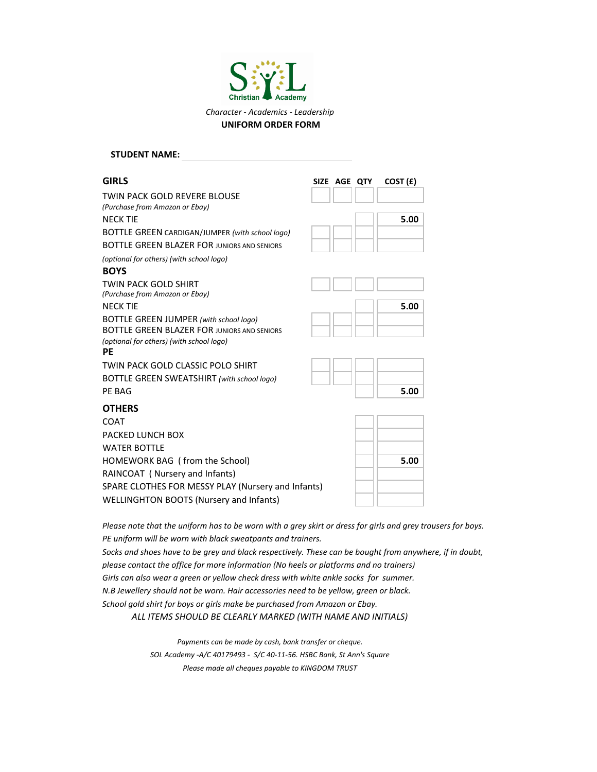

## **GIRLS SIZE AGE QTY COST (£)** TWIN PACK GOLD REVERE BLOUSE NECK TIE 5.00 BOTTLE GREEN CARDIGAN/JUMPER *(with school logo)* BOTTLE GREEN BLAZER FOR JUNIORS AND SENIORS *(optional for others) (with school logo)* **BOYS** TWIN PACK GOLD SHIRT NECK TIE **5.00** BOTTLE GREEN JUMPER *(with school logo)* BOTTLE GREEN BLAZER FOR JUNIORS AND SENIORS *(optional for others) (with school logo)* **PE** TWIN PACK GOLD CLASSIC POLO SHIRT BOTTLE GREEN SWEATSHIRT *(with school logo)* PE BAG **5.00 OTHERS** COAT PACKED LUNCH BOX WATER BOTTLE HOMEWORK BAG ( from the School) **5.00** RAINCOAT ( Nursery and Infants) SPARE CLOTHES FOR MESSY PLAY (Nursery and Infants) WELLINGHTON BOOTS (Nursery and Infants) **STUDENT NAME:** *(Purchase from Amazon or Ebay) (Purchase from Amazon or Ebay)*

*Please note that the uniform has to be worn with a grey skirt or dress for girls and grey trousers for boys. PE uniform will be worn with black sweatpants and trainers.*

*Socks and shoes have to be grey and black respectively. These can be bought from anywhere, if in doubt, please contact the office for more information (No heels or platforms and no trainers) Girls can also wear a green or yellow check dress with white ankle socks for summer. N.B Jewellery should not be worn. Hair accessories need to be yellow, green or black. ALL ITEMS SHOULD BE CLEARLY MARKED (WITH NAME AND INITIALS) School gold shirt for boys or girls make be purchased from Amazon or Ebay.*

> *Please made all cheques payable to KINGDOM TRUST SOL Academy -A/C 40179493 - S/C 40-11-56. HSBC Bank, St Ann's Square Payments can be made by cash, bank transfer or cheque.*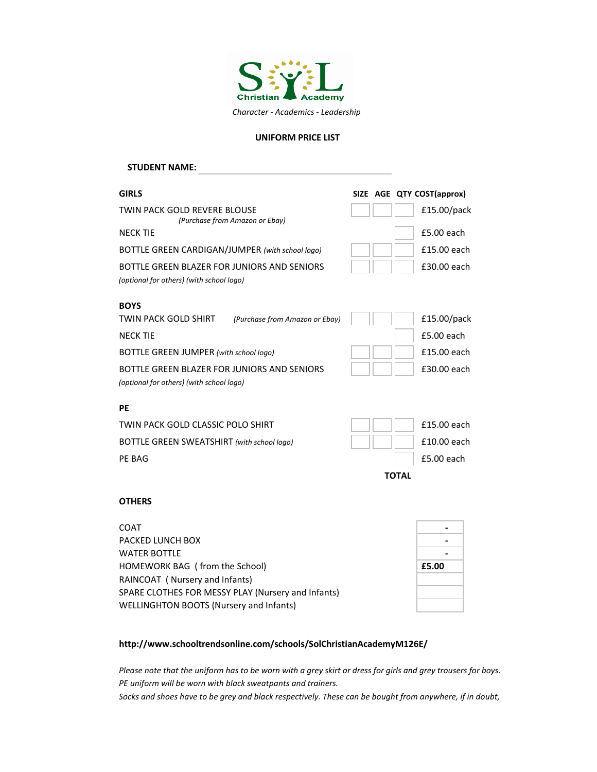

#### **UNIFORM PRICE LIST**

# **GIRLS SIZE AGE QTY COST(approx)** TWIN PACK GOLD REVERE BLOUSE £15.00/pack NECK TIE **ES.00** each BOTTLE GREEN CARDIGAN/JUMPER *(with school logo)*  $|| \t||$  **£15.00 each** BOTTLE GREEN BLAZER FOR JUNIORS AND SENIORS **For a state of the SOLO** each *(optional for others) (with school logo)* **BOYS** <code>TWIN PACK GOLD SHIRT</code> (Purchase from Amazon or Ebay)  $||\cdot||$   $||$   $f$  15.00/pack NECK TIE **ES.00** each BOTTLE GREEN JUMPER (with school logo) **1998 EXECUTE:**  $\begin{bmatrix} 1 & 1 \\ 1 & 1 \end{bmatrix}$  **£15.00 each** BOTTLE GREEN BLAZER FOR JUNIORS AND SENIORS **Fig. 1** | | | | | £30.00 each *(optional for others) (with school logo)* **PE** TWIN PACK GOLD CLASSIC POLO SHIRT  $|| \t || \t | \t | \t \pm 15.00$  each BOTTLE GREEN SWEATSHIRT (with school logo)  $\parallel$  | | | £10.00 each PE BAG **E5.00** each **E5.00** each **E5.00** each **E5.00** each **E5.00** each **E5.00 STUDENT NAME: TOTAL** *(Purchase from Amazon or Ebay)*

#### **OTHERS**

| <b>COAT</b>                                        |       |
|----------------------------------------------------|-------|
| PACKED LUNCH BOX                                   |       |
| <b>WATER BOTTLE</b>                                |       |
| HOMEWORK BAG (from the School)                     | £5.00 |
| RAINCOAT ( Nursery and Infants)                    |       |
| SPARE CLOTHES FOR MESSY PLAY (Nursery and Infants) |       |
| WELLINGHTON BOOTS (Nursery and Infants)            |       |

### **http://www.schooltrendsonline.com/schools/SolChristianAcademyM126E/**

*Please note that the uniform has to be worn with a grey skirt or dress for girls and grey trousers for boys. PE uniform will be worn with black sweatpants and trainers.*

*Socks and shoes have to be grey and black respectively. These can be bought from anywhere, if in doubt,*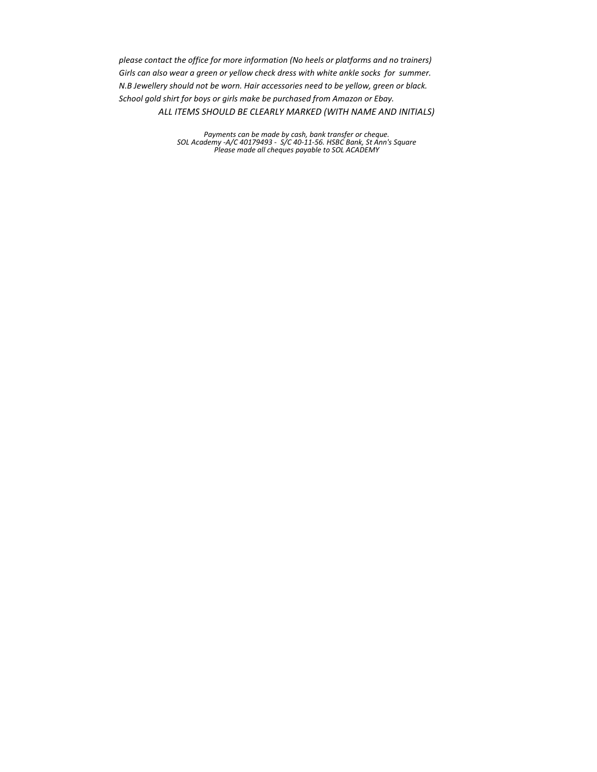*please contact the office for more information (No heels or platforms and no trainers) Girls can also wear a green or yellow check dress with white ankle socks for summer. N.B Jewellery should not be worn. Hair accessories need to be yellow, green or black. ALL ITEMS SHOULD BE CLEARLY MARKED (WITH NAME AND INITIALS) School gold shirt for boys or girls make be purchased from Amazon or Ebay.*

> *SOL Academy -A/C 40179493 - S/C 40-11-56. HSBC Bank, St Ann's Square Please made all cheques payable to SOL ACADEMY Payments can be made by cash, bank transfer or cheque.*